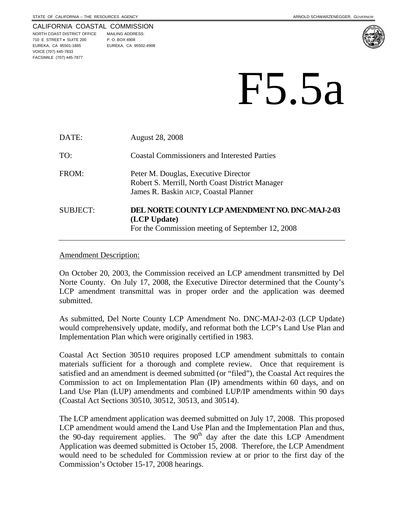#### CALIFORNIA COASTAL COMMISSION

NORTH COAST DISTRICT OFFICE MAILING ADDRESS: 710 E STREET • SUITE 200 P. O. BOX 4908 EUREKA, CA 95501-1865 EUREKA, CA 95502-4908 VOICE (707) 445-7833 FACSIMILE (707) 445-7877



# F5.5a

| DATE:    | <b>August 28, 2008</b>                                                                                                           |
|----------|----------------------------------------------------------------------------------------------------------------------------------|
| TO:      | <b>Coastal Commissioners and Interested Parties</b>                                                                              |
| FROM:    | Peter M. Douglas, Executive Director<br>Robert S. Merrill, North Coast District Manager<br>James R. Baskin AICP, Coastal Planner |
| SUBJECT: | DEL NORTE COUNTY LCP AMENDMENT NO. DNC-MAJ-2-03<br>(LCP Update)<br>For the Commission meeting of September 12, 2008              |

### Amendment Description:

On October 20, 2003, the Commission received an LCP amendment transmitted by Del Norte County. On July 17, 2008, the Executive Director determined that the County's LCP amendment transmittal was in proper order and the application was deemed submitted.

As submitted, Del Norte County LCP Amendment No. DNC-MAJ-2-03 (LCP Update) would comprehensively update, modify, and reformat both the LCP's Land Use Plan and Implementation Plan which were originally certified in 1983.

Coastal Act Section 30510 requires proposed LCP amendment submittals to contain materials sufficient for a thorough and complete review. Once that requirement is satisfied and an amendment is deemed submitted (or "filed"), the Coastal Act requires the Commission to act on Implementation Plan (IP) amendments within 60 days, and on Land Use Plan (LUP) amendments and combined LUP/IP amendments within 90 days (Coastal Act Sections 30510, 30512, 30513, and 30514).

The LCP amendment application was deemed submitted on July 17, 2008. This proposed LCP amendment would amend the Land Use Plan and the Implementation Plan and thus, the 90-day requirement applies. The  $90<sup>th</sup>$  day after the date this LCP Amendment Application was deemed submitted is October 15, 2008. Therefore, the LCP Amendment would need to be scheduled for Commission review at or prior to the first day of the Commission's October 15-17, 2008 hearings.